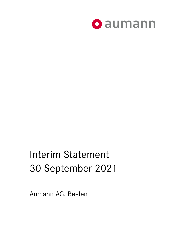

# Interim Statement 30 September 2021

Aumann AG, Beelen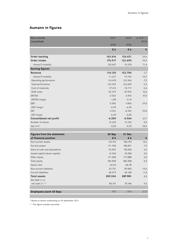# **Aumann in figures**

| Nine months                    | 2021        | 2020        | $\triangle$ 2021 / |
|--------------------------------|-------------|-------------|--------------------|
| (unaudited)                    |             |             | 2020               |
|                                | <b>IFRS</b> | <b>IFRS</b> |                    |
|                                | €k          | €k          | $\%$               |
| Order backlog                  | 163.616     | 126.421     | 29,4               |
| Order intake                   | 175.917     | 122.690     | 43,4               |
| thereof E-mobility             | 120.607     | 70.378      | 71,4               |
| <b>Earning figures</b>         |             |             |                    |
| Revenue                        | 114.120     | 123.704     | $-7,7$             |
| thereof E-mobility             | 71.227      | 79.755      | $-10,7$            |
| Operating performance          | 114.478     | 123.346     | $-7,2$             |
| Total performance              | 123.259     | 126.009     | $-2,2$             |
| Cost of materials              | $-77.413$   | $-73.717$   | $-5,0$             |
| Staff costs                    | $-42.479$   | $-47.495$   | 10,6               |
| <b>EBITDA</b>                  | $-2.022$    | $-3.816$    | 47,0               |
| <b>EBITDA</b> margin           | $-1,8%$     | $-3,1%$     |                    |
| EBIT                           | $-5.582$    | $-7.860$    | 29,0               |
| EBIT margin                    | $-4,9%$     | $-6,4%$     |                    |
| EBT                            | $-5.961$    | $-8.395$    | 29,0               |
| <b>EBT</b> margin              | $-5,2%$     | $-6,8%$     |                    |
| <b>Consolidated net profit</b> | $-4.309$    | $-5.964$    | 27,7               |
| Number of shares               | 15.250      | 15.250      | 0,0                |
| eps in €*                      | $-0,28$     | $-0,39$     | 28,2               |
|                                |             |             |                    |
| Figures from the statement     | 30 Sep      | 31 Dec      |                    |
| of financial position          | €k          | €k          | %                  |
| Non-current assets             | 118.196     | 103.170     | 14,6               |
| Current assets                 | 171.358     | 184.811     | $-7,3$             |
| there of cash and equivalents  | 93.982      | 90.234      | 4,2                |
| Issued capital (share capital) | 15.250      | 15.250      | 0,0                |
| Other equity                   | 171.588     | 171.088     | 0,3                |
| Total equity                   | 186.838     | 186.338     | 0,3                |
| Equity ratio                   | 64,5%       | 64,7%       |                    |
| Non-current liabilities        | 33.737      | 39.503      | $-14,6$            |
| <b>Current liabilities</b>     | 68.979      | 62.140      | 11,0               |
| <b>Total assets</b>            | 289.554     | 287.981     | 0,5                |
| Net debt (-) or                |             |             |                    |
| net cash $(+)$ **              | 80.167      | 73.146      | 9,6                |
|                                |             |             |                    |
| Employees (each 30 Sep)        | 792         | 1.014       | $-21,9$            |

\* Based on shares outstanding on 30 September 2021.

\*\* This figure includes securities.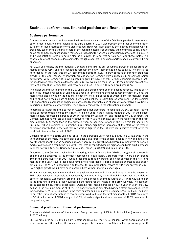## **Business performance, financial position and financial performance**

#### **Business performance**

The restrictions on social and business life introduced on account of the COVID-19 pandemic were scaled back in most countries and regions in the third quarter of 2021. Accordingly, the direct economic repercussions of these restrictions were also reduced. However, their place as the biggest challenge was increasingly taken by the trailing effects of the pandemic itself. For example, the continuing supply bottlenecks for primary products and raw materials are leading to noticeable production restrictions in industry, and rising inflation rates are acting also as a burden. It is not yet certain how long these factors will continue to affect economic developments, though a cool-off in business performance is currently being observed.

For 2021 as a whole, the International Monetary Fund (IMF) is still assuming growth in global gross domestic product (GDP) and has reduced its forecast by just 0.1 percentage points to 5.9%. The IMF raised its forecast for the euro area by 0.4 percentage points to 5.0% – partly because of stronger predicted growth in Italy and France. By contrast, projections for Germany were adjusted 0.5 percentage points downwards, with German GDP now expected to grow by 3.1% in 2021. German economic research institutions lowered their economic forecasts for 2021 by even more than the IMF. In their autumn projections, they anticipate that German GDP will grow by just 2.4%. In spring, they had predicted 3.7%.

The major automotive markets in the US, China and Europe have been in decline recently. This is partly due to the limited availability of vehicles as a result of the ongoing semiconductor shortage. In China, the market was also slowed by the national electricity crisis, on account of which many car manufacturers had to shut down their plants at times. Significant declines in sales figures were reported for vehicles with conventional combustion engines in particular. By contrast, sales of cars with alternative drive trains, in particular battery electric vehicles, rose again significantly in the international markets.

According to figures from the European Automobile Manufacturers' Association (ACEA), car registrations in the European Union climbed by 6.6% to 7.5 million units in the first nine months of 2021. In the biggest markets, Italy reported an increase of 20.6%, followed by Spain (8.8%) and France (8.0%). By contrast, the German automotive market slid into negative territory. 2.0 million new cars were registered in the first nine months, 1.2% fewer than in the previous year. As car registrations in the EU again fell sharply by 23.1% to 718,598 vehicles in September 2021 alone, significant increases at the start of the year in particular contributed to the fact that registration figures in the EU were still positive overall after the total first nine months period of 2021.

Demand for battery electric vehicles (BEVs) in the European Union rose by 56.7% to 212,582 units in the third quarter of the year. This took place against a backdrop of the general decline in new registra-tions over the three-month period described above, whereby BEV growth was bolstered by incentives on various markets as well. As a result, the four key EU markets all reported double-digit or even triple-digit increases in BEVs: Italy (up 122.0%), Germany (up 62.7%), France (up 34.6%) and Spain (up 21.8%).

According to the German Mechanical Engineering Industry Association (VDMA), the general recovery in demand being observed at the member companies is still intact. Corporate orders were up by around 50% in the third quarter of 2021, while order intake rose by around 36% year-on-year in the first nine months of the year. Thus, order books remain well filled despite global materials shortages and supply difficulties. The VDMA is confirming its forecast for real production growth of 10% year-on-year in 2021. Even higher growth would have been possible here without materials shortages.

Within this context, Aumann maintained the positive momentum in its order intake in the third quarter of 2021, also because it was able to successfully win another key major E-mobility contract in the field of battery technology. Accordingly, order intake in the E-mobility segment surged by 71.4% to €120.6 million in the first nine months, already surpassing the figure for the whole of the previous year. The segment accounted for 68.6% of total order intake. Overall, order intake increased by 43.4% year-on-year to €175.9 million in the first nine months of 2021. This positive trend is now also having an effect on revenue, which increased by 6.0% to €41.4 million in the third quarter and cumulatively reached €114.1 million. The bookto-bill ratio (ratio of order intake to revenue) improved to 1.54 in the first nine months. EBITDA amounted to €-2.0 million or an EBITDA margin of -1.8%, already a significant improvement of 47.0% compared to the previous year.

#### **Financial position and financial performance**

The consolidated revenue of the Aumann Group declined by 7.7% to  $£114.1$  million (previous year: €123.7 million).

EBITDA amounted to €-2.0 million by September (previous year: €-3.8 million). After depreciation and amortisation of €3.6 million, the Aumann Group's EBIT amounted to €-5.6 million (previous year: €-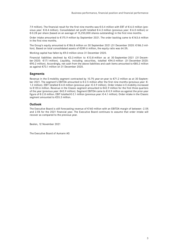7.9 million). The financial result for the first nine months was €-0.4 million with EBT of €-6.0 million (previous year: €-8.4 million). Consolidated net profit totalled €-4.3 million (previous year: €-6.0 million) or €-0.28 per share (based on an average of 15,250,000 shares outstanding) in the first nine months.

Order intake amounted to €175.9 million by September 2021. The order backlog came to €163.6 million in the first nine months.

The Group's equity amounted to €186.8 million on 30 September 2021 (31 December 2020: €186.3 million). Based on total consolidated assets of €289.6 million, the equity ratio was 64.5%.

Working capital has fallen by €9.0 million since 31 December 2020.

Financial liabilities declined by €3.3 million to €13.8 million as at 30 September 2021 (31 December 2020: €17.1 million). Liquidity, including securities, totalled €94.0 million (31 December 2020: €90.2 million). Accordingly, net cash from the above liabilities and cash items amounted to €80.2 million as against €73.1 million on 31 December 2020.

#### **Segments**

Revenue in the E-mobility segment contracted by 10.7% year-on-year to €71.2 million as at 30 September 2021. The segment's EBITDA amounted to €-2.5 million after the first nine months (previous year: €- 1.2 million). EBIT totalled €-4.8 million (previous year: €-3.9 million). Order intake in E-mobility increased to €120.6 million. Revenue in the Classic segment amounted to €42.9 million for the first three quarters of the year (previous year: €43.9 million). Segment EBITDA came to €-0.9 million as against the prior-year figure of €-2.8 million. EBIT totalled €-2.1 million (previous year: €-4.1 million). Order intake in the Classic segment amounted to €55.3 million.

#### **Outlook**

The Executive Board is still forecasting revenue of €160 million with an EBITDA margin of between -2.5% and 2.5% for the 2021 financial year. The Executive Board continues to assume that order intake will recover as compared to the previous year.

Beelen, 12 November 2021

The Executive Board of Aumann AG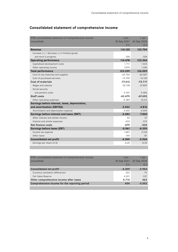| IFRS consolidated statement of comprehensive income | $1$ Jan -   | $1$ lan -    |
|-----------------------------------------------------|-------------|--------------|
| (unaudited)                                         | 30 Sep 2021 | 30 Sep 2020  |
|                                                     | €k          | $\epsilon$ k |
| Revenue                                             | 114.120     | 123.704      |
| Increase $(+)$ / decrease $(-)$ in finished goods   |             |              |
| and work in progress                                | 358         | $-358$       |
| <b>Operating performance</b>                        | 114.478     | 123.346      |
| Capitalised development costs                       | 1.711       | 1.423        |
| Other operating income                              | 7.070       | 1.240        |
| <b>Total performance</b>                            | 123.259     | 126.009      |
| Cost of raw materials and supplies                  | $-63.704$   | $-60.587$    |
| Cost of purchased services                          | $-13.709$   | $-13.130$    |
| <b>Cost of materials</b>                            | $-77.413$   | $-73.717$    |
| Wages and salaries                                  | $-33.138$   | $-37.809$    |
| Social security                                     |             |              |
| and pension costs                                   | $-9.341$    | $-9.686$     |
| <b>Staff costs</b>                                  | $-42.479$   | $-47.495$    |
| Other operating expenses                            | $-5.389$    | $-8.613$     |
| Earnings before interest, taxes, depreciation,      |             |              |
| and amortisation (EBITDA)                           | $-2.022$    | $-3.816$     |
| Amortisation and depreciation expense               | $-3.560$    | $-4.044$     |
| Earnings before interest and taxes (EBIT)           | $-5.582$    | $-7.860$     |
| Other interest and similar income                   | 54          | 37           |
| Interest and similar expenses                       | $-433$      | $-572$       |
| Net finance costs                                   | $-379$      | $-535$       |
| Earnings before taxes (EBT)                         | $-5.961$    | $-8.395$     |
| Income tax expense                                  | 1.801       | 2.518        |
| Other taxes                                         | $-149$      | $-87$        |
| <b>Consolidated net profit</b>                      | $-4.309$    | $-5.964$     |
| Earnings per share (in $\epsilon$ )                 | $-0,28$     | $-0,39$      |
|                                                     |             |              |

## **Consolidated statement of comprehensive income**

| IFRS consolidated statement of comprehensive income | $1$ lan $-$ | $1$ Jan -   |
|-----------------------------------------------------|-------------|-------------|
| (unaudited)                                         | 30 Sep 2021 | 30 Sep 2020 |
|                                                     | $\in$ k     | $\in$ k     |
| <b>Consolidated net profit</b>                      | $-4.309$    | $-5.964$    |
| Currency translation differences                    | 322         | $-75$       |
| Fair Value Reserve                                  | 4.391       | 537         |
| Other comprehensive income after taxes              | 4.713       | 462         |
| Comprehensive income for the reporting period       | 404         | $-5.502$    |
|                                                     |             |             |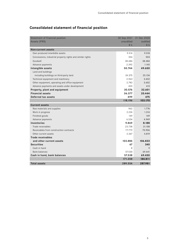| Statement of financial position                            | 30 Sep 2021 | 31 Dec 2020 |
|------------------------------------------------------------|-------------|-------------|
| Assets (IFRS)                                              | unaudited   | audited     |
|                                                            | €k          | $E$ k       |
| <b>Non-current assets</b>                                  |             |             |
| Own produced intanbible assets                             | 9.514       | 9.518       |
| Concessions, industrial property rights and similar rights | 354         | 503         |
| Goodwill                                                   | 38.484      | 38.484      |
| Advance payments                                           | 2.392       | 1.145       |
| Intangible assets                                          | 50.744      | 49.650      |
| Land and buildings                                         |             |             |
| including buildings on third-party land                    | 24.375      | 25.134      |
| Technical equipment and machinery                          | 2.963       | 3.452       |
| Other equipment, operating and office equipment            | 2.783       | 3.602       |
| Advance payments and assets under development              | 455         | 413         |
| Property, plant and equipment                              | 30.576      | 32.601      |
| <b>Financial assets</b>                                    | 36.377      | 20.444      |
| Deferred tax assets                                        | 499         | 475         |
|                                                            | 118.196     | 103.170     |
| <b>Current assets</b>                                      |             |             |
| Raw materials and supplies                                 | 962         | 1.776       |
| Work in progress                                           | 2.224       | 1.314       |
| Finished goods                                             | 149         | 149         |
| Advance payments                                           | 6.534       | 4.949       |
| Inventories                                                | 9.869       | 8.188       |
| Trade receivables                                          | 23.738      | 31.108      |
| Receivables from construction contracts                    | 77.779      | 70.906      |
| Other current assets                                       | 2.367       | 4.819       |
| Trade receivables                                          |             |             |
| and other current assets                                   | 103.884     | 106.833     |
| <b>Securities</b>                                          | 67          | 340         |
| Cash in hand                                               | 8           | 9           |
| <b>Bank balances</b>                                       | 57.530      | 69.441      |
| Cash in hand, bank balances                                | 57.538      | 69.450      |
|                                                            | 171.358     | 184.811     |
| <b>Total assets</b>                                        | 289.554     | 287.981     |

# **Consolidated statement of financial position**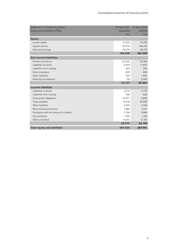| Statement of financial position           | 30 Sep 2021 | 31 Dec 2020  |
|-------------------------------------------|-------------|--------------|
| Equity and liabilities (IFRS)             | unaudited   | audited      |
|                                           | €k          | $\epsilon$ k |
| Equity                                    |             |              |
| Issued capital                            | 15.250      | 15.250       |
| Capital reserve                           | 141.014     | 140.918      |
| Retained earnings                         | 30.574      | 30.170       |
|                                           | 186.838     | 186.338      |
| <b>Non-current liabilities</b>            |             |              |
| Pension provisions                        | 22.232      | 22.246       |
| Liabilities to banks                      | 9.203       | 11.992       |
| Liabilities from Leasing                  | 363         | 753          |
| Other provisions                          | 839         | 838          |
| Other liabilities                         | 924         | 1.005        |
| Deferred tax liabilities                  | 176         | 2.669        |
|                                           | 33.737      | 39.503       |
| <b>Current liabilities</b>                |             |              |
| Liabilities to banks                      | 3.719       | 3.719        |
| Liabilities from Leasing                  | 530         | 623          |
| Contractual obligations                   | 15.977      | 3.878        |
| Trade payables                            | 19.918      | 25.878       |
| Other liabilities                         | 3.696       | 2.344        |
| Restructuring provisions                  | 1.886       | 7.517        |
| Provisions with the nature of a liability | 7.758       | 5.894        |
| Tax provisions                            | 1.054       | 1.124        |
| Other provisions                          | 14.441      | 11.163       |
|                                           | 68.979      | 62.140       |
| <b>Total equity and liabilities</b>       | 289.554     | 287.981      |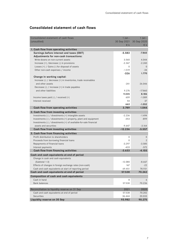## **Consolidated statement of cash flows**

| Consolidated statement of cash flows                              | $1$ lan $-$ | $1$ Jan -      |
|-------------------------------------------------------------------|-------------|----------------|
| (unaudited)                                                       | 30 Sep 2021 | 30 Sep 2020    |
|                                                                   | €k          | €k             |
| 1. Cash flow from operating activities                            |             |                |
| Earnings before interest and taxes (EBIT)                         | $-5.583$    | $-7.860$       |
| Adjustments for non-cash transactions:                            |             |                |
| Write-downs on non-current assets                                 | 3.560       | 4.044          |
| Increase $(+)$ /decrease $(-)$ in provisions                      | $-2.367$    | $-2.240$       |
| Losses $(+)$ / Gains $(-)$ for disposal of assets                 | 0           | $\mathbf{0}$   |
| Other non-cash expenses / income                                  | $-1.519$    | $-34$          |
|                                                                   | $-326$      | 1.770          |
| Change in working capital:                                        |             |                |
| Increase (-) / decrease (+) in inventories, trade receivables     |             |                |
| and other assets                                                  | $-241$      | 26.046         |
| Decrease (-) / increase (+) in trade payables                     |             |                |
| and other liabilities                                             | 9.276       | $-17.860$      |
|                                                                   | 9.035       | 8.186          |
| Income taxes paid $(-)$ / received $(+)$                          | 609         | $-1.089$       |
| Interest received                                                 | 54          | 37             |
|                                                                   | 663         | $-1.052$       |
| Cash flow from operating activities                               | 3.789       | 1.044          |
| 2. Cash flow from investing activities                            |             |                |
| Investments (-) / divestments (+) intangible assets               | $-2.236$    | $-1.494$       |
| Investments (-) / divestments (+) property, plant and equipment   | $-353$      | $-899$         |
| Investments (-) / divestments (+) of available-for-sale financial |             |                |
| assets and securities                                             | $-9.647$    | $-3.164$       |
| Cash flow from investing activities                               | $-12.236$   | $-5.557$       |
| 3. Cash flow from financing activities                            |             |                |
| Profit distribution to shareholders                               | $\mathbf 0$ | $\mathbf 0$    |
| Proceeds from borrowing financial loans                           | 0           | $\overline{2}$ |
| Repayments of financial loans                                     | $-3.297$    | $-3.585$       |
| Interest payments                                                 | -433        | $-572$         |
| Cash flow from financing activities                               | $-3.633$    | $-4.155$       |
| Cash and cash equivalents at end of period                        |             |                |
| Change in cash and cash equivalents                               |             |                |
| (Subtotal 1-3)                                                    | $-12.080$   | $-8.667$       |
| Effects of changes in foreign exchange rates (non-cash)           | 167         | $-22$          |
| Cash and cash equivalents at start of reporting period            | 69.451      | 78.931         |
| Cash and cash equivalents at end of period                        | 57.538      | 70.242         |
| Composition of cash and cash equivalents                          |             |                |
| Cash in hand                                                      | 8           | 6              |
| <b>Bank balances</b>                                              | 57.530      | 70.236         |
| Reconciliation to liquidity reserve on 31 Sep                     | 2021        | 2020           |
| Cash and cash equivalents at end of period                        | 57.538      | 70.242         |
| Securities                                                        | 36.444      | 20.033         |
| Liquidity reserve on 30 Sep                                       | 93.982      | 90.275         |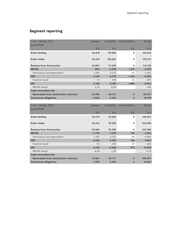# **Segment reporting**

| 1 Jan - 30 Sep 2021                     | Classic  | E-mobility | Reconcilation  | Group        |
|-----------------------------------------|----------|------------|----------------|--------------|
| (unaudited)                             |          |            |                |              |
|                                         | €k       | €k         | €k             | €k           |
| Order backlog                           | 64.610   | 99.006     | 0              | 163.616      |
| Order intake                            | 55.310   | 120.607    | $\mathbf 0$    | 175.917      |
| Revenue from third parties              | 42.891   | 71.229     | $\Omega$       | 114.120      |
| <b>EBITDA</b>                           | $-896$   | $-2.498$   | 1.372          | $-2.022$     |
| Amortisation and depreciation           | $-1.243$ | $-2.272$   | -46            | $-3.561$     |
| <b>EBIT</b>                             | $-2.139$ | $-4.770$   | 1.326          | $-5.583$     |
| Financial result                        | $-15$    | $-418$     | 54             | $-379$       |
| <b>EBT</b>                              | $-2.154$ | $-5.188$   | 1.380          | $-5.962$     |
| <b>EBITDA</b> margin                    | $-2,1%$  | $-3,5%$    |                | $-1,8%$      |
| <b>Trade receivables and</b>            |          |            |                |              |
| Receivables from construction contracts | 32.786   | 68.731     | $\mathbf 0$    | 101.517      |
| <b>Contractual obligations</b>          | 9.046    | 6.932      | $\bf{0}$       | 15.978       |
|                                         |          |            |                |              |
| 1 Jan - 30 Sep 2020                     | Classic  | E-mobility | Reconcilation  | Group        |
| (unaudited)                             |          |            |                |              |
|                                         | €k       | €k         | $E$ k          | $\epsilon$ k |
| Order backlog                           | 53.179   | 73.242     | 0              | 126.421      |
|                                         |          |            |                |              |
| <b>Order intake</b>                     | 52.312   | 70.378     | $\mathbf 0$    | 122.690      |
| Revenue from third parties              | 43.949   | 79.755     | $\mathbf 0$    | 123.704      |
| <b>EBITDA</b>                           | $-2.770$ | $-1.228$   | 182            | $-3.816$     |
| Amortisation and depreciation           | $-1.295$ | $-2.701$   | $-48$          | $-4.044$     |
| <b>EBIT</b>                             | $-4.066$ | $-3.930$   | 136            | $-7.860$     |
| Financial result                        | $-54$    | $-518$     | 37             | $-535$       |
| <b>EBT</b>                              | $-4.120$ | $-4.448$   | 173            | $-8.395$     |
| EBITDA margin                           | $-6,3%$  | $-1,5%$    |                | $-3,1%$      |
| Trade receivables and                   |          |            |                |              |
| Receivables from construction contracts | 51.661   | 53.711     | $\bf{0}$       | 105.372      |
| <b>Contractual obligations</b>          | 7.299    | 3.243      | $\overline{0}$ | 10.542       |